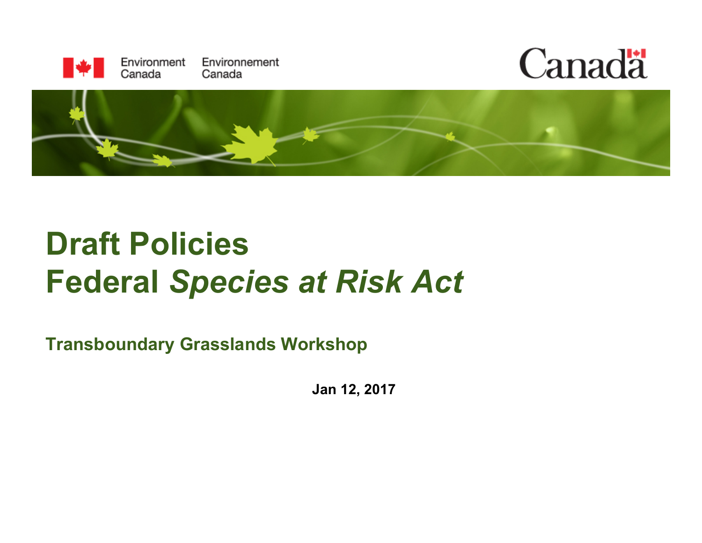





## **Draft Policies Federal** *Species at Risk Act*

**Transboundary Grasslands Workshop** 

**Jan 12, 2017**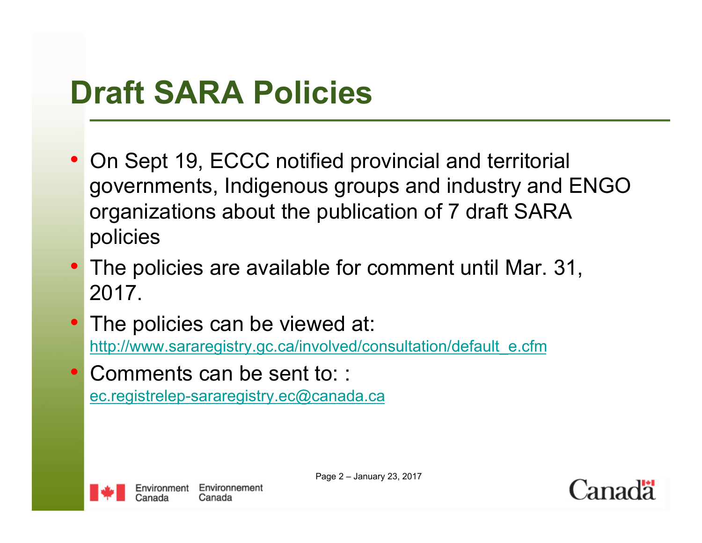### **Draft SARA Policies**

- On Sept 19, ECCC notified provincial and territorial governments, Indigenous groups and industry and ENGO organizations about the publication of 7 draft SARA policies
- The policies are available for comment until Mar. 31, 2017.
- The policies can be viewed at: http://www.sararegistry.gc.ca/involved/consultation/default\_e.cfm
- Comments can be sent to: : ec.registrelep-sararegistry.ec@canada.ca



Page 2 – January 23, 2017

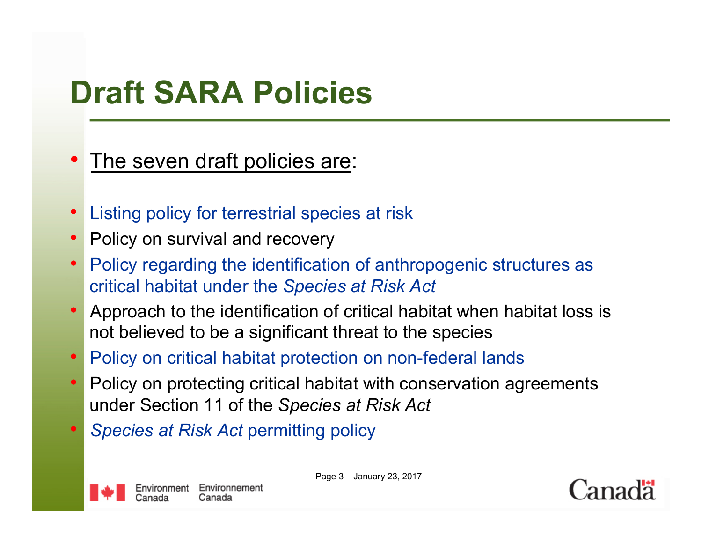## **Draft SARA Policies**

- The seven draft policies are:
- Listing policy for terrestrial species at risk
- Policy on survival and recovery
- Policy regarding the identification of anthropogenic structures as critical habitat under the *Species at Risk Act*
- Approach to the identification of critical habitat when habitat loss is not believed to be a significant threat to the species
- Policy on critical habitat protection on non-federal lands
- Policy on protecting critical habitat with conservation agreements under Section 11 of the *Species at Risk Act*
- *Species at Risk Act* permitting policy

Page 3 – January 23, 2017

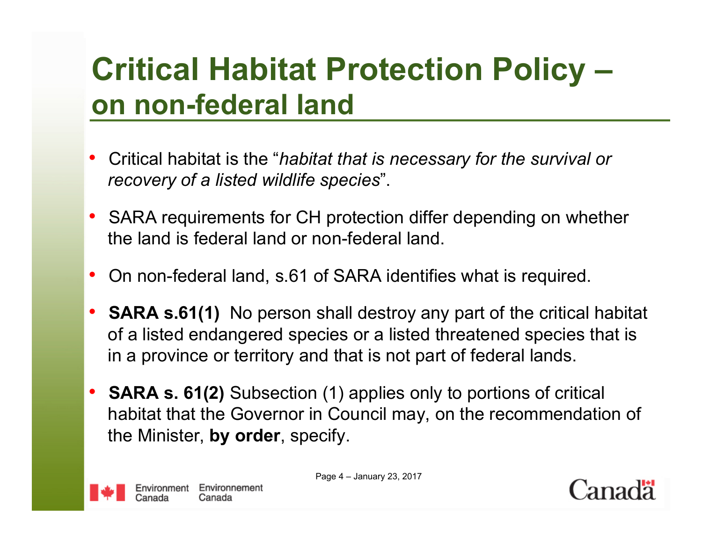### **Critical Habitat Protection Policy – on non-federal land**

- Critical habitat is the "*habitat that is necessary for the survival or recovery of a listed wildlife species*".
- SARA requirements for CH protection differ depending on whether the land is federal land or non-federal land.
- On non-federal land, s.61 of SARA identifies what is required.
- **SARA s.61(1)** No person shall destroy any part of the critical habitat of a listed endangered species or a listed threatened species that is in a province or territory and that is not part of federal lands.
- **SARA s. 61(2)** Subsection (1) applies only to portions of critical habitat that the Governor in Council may, on the recommendation of the Minister, **by order**, specify.

Page 4 – January 23, 2017

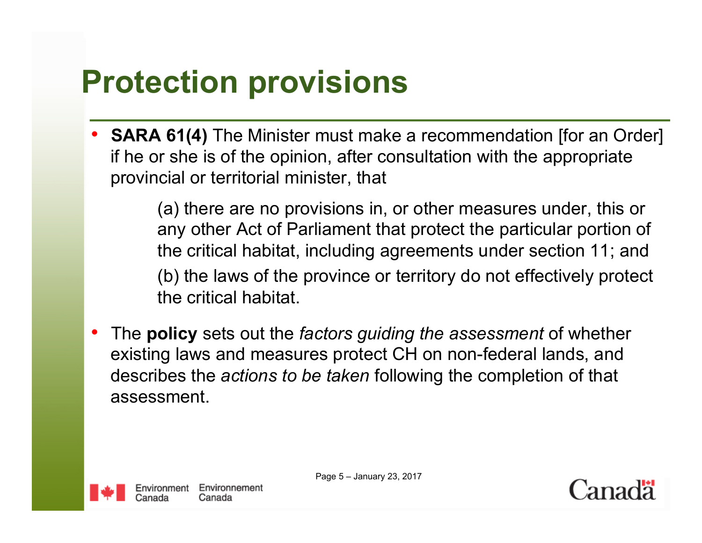## **Protection provisions**

• **SARA 61(4)** The Minister must make a recommendation [for an Order] if he or she is of the opinion, after consultation with the appropriate provincial or territorial minister, that

> (a) there are no provisions in, or other measures under, this or any other Act of Parliament that protect the particular portion of the critical habitat, including agreements under section 11; and (b) the laws of the province or territory do not effectively protect the critical habitat.

• The **policy** sets out the *factors guiding the assessment* of whether existing laws and measures protect CH on non-federal lands, and describes the *actions to be taken* following the completion of that assessment.



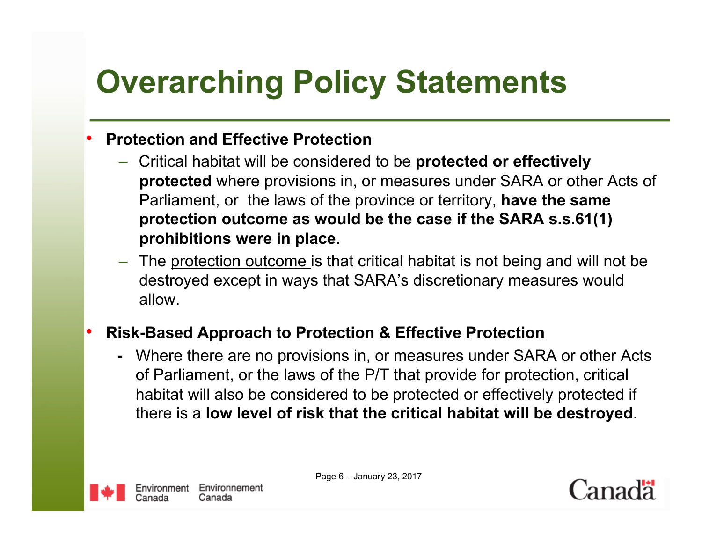# **Overarching Policy Statements**

#### • **Protection and Effective Protection**

- Critical habitat will be considered to be **protected or effectively protected** where provisions in, or measures under SARA or other Acts of Parliament, or the laws of the province or territory, **have the same protection outcome as would be the case if the SARA s.s.61(1) prohibitions were in place.**
- The protection outcome is that critical habitat is not being and will not be destroyed except in ways that SARA's discretionary measures would allow.

#### • **Risk-Based Approach to Protection & Effective Protection**

**-** Where there are no provisions in, or measures under SARA or other Acts of Parliament, or the laws of the P/T that provide for protection, critical habitat will also be considered to be protected or effectively protected if there is a **low level of risk that the critical habitat will be destroyed**.



Page 6 – January 23, 2017

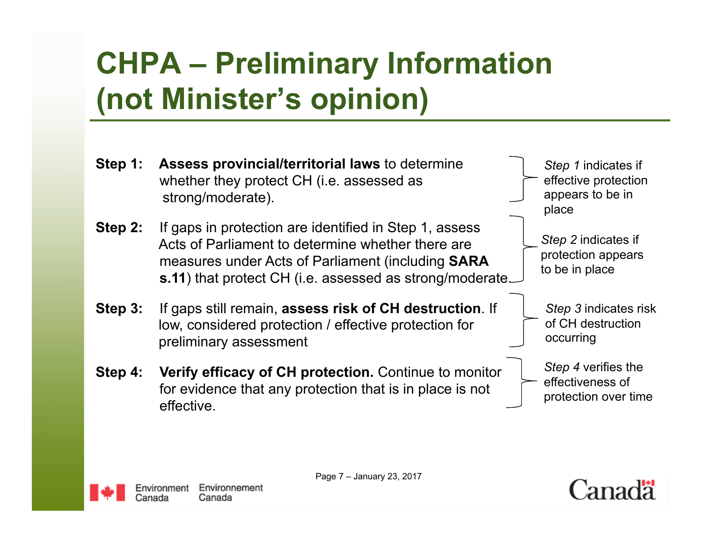## **CHPA – Preliminary Information (not Minister's opinion)**





Page 7 – January 23, 2017

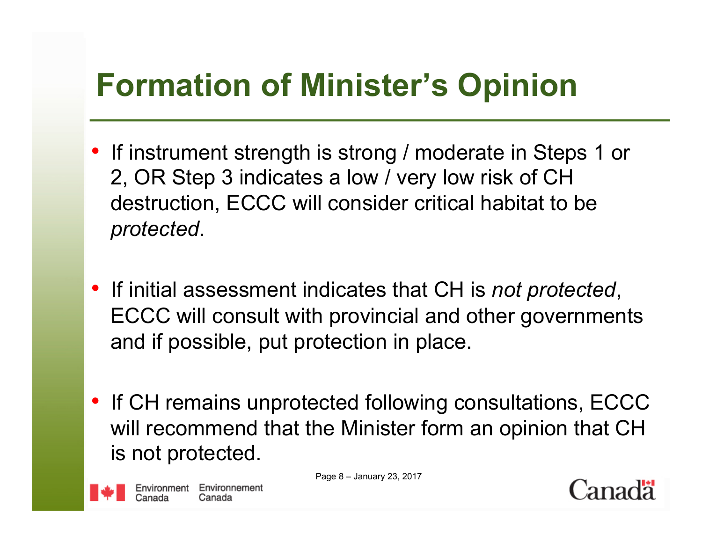## **Formation of Minister's Opinion**

- If instrument strength is strong / moderate in Steps 1 or 2, OR Step 3 indicates a low / very low risk of CH destruction, ECCC will consider critical habitat to be *protected*.
- If initial assessment indicates that CH is *not protected*, ECCC will consult with provincial and other governments and if possible, put protection in place.
- If CH remains unprotected following consultations, ECCC will recommend that the Minister form an opinion that CH is not protected.

Page 8 – January 23, 2017

Environment Environnement

Canada

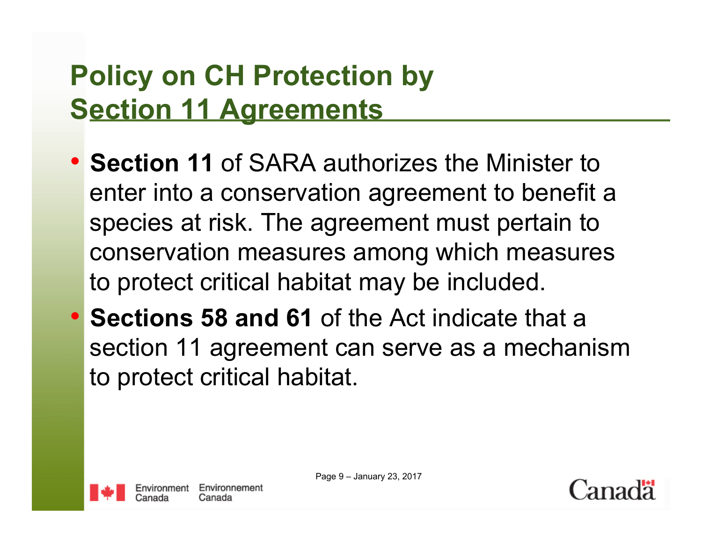### **Policy on CH Protection by Section 11 Agreements**

- **Section 11** of SARA authorizes the Minister to enter into a conservation agreement to benefit a species at risk. The agreement must pertain to conservation measures among which measures to protect critical habitat may be included.
- **Sections 58 and 61** of the Act indicate that a section 11 agreement can serve as a mechanism to protect critical habitat.



Page 9 – January 23, 2017

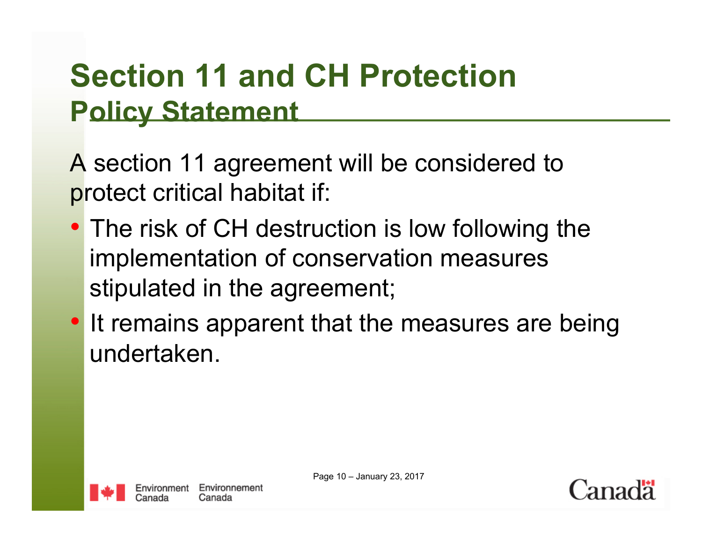### **Section 11 and CH Protection Policy Statement**

A section 11 agreement will be considered to protect critical habitat if:

- The risk of CH destruction is low following the implementation of conservation measures stipulated in the agreement;
- It remains apparent that the measures are being undertaken.



Page 10 – January 23, 2017

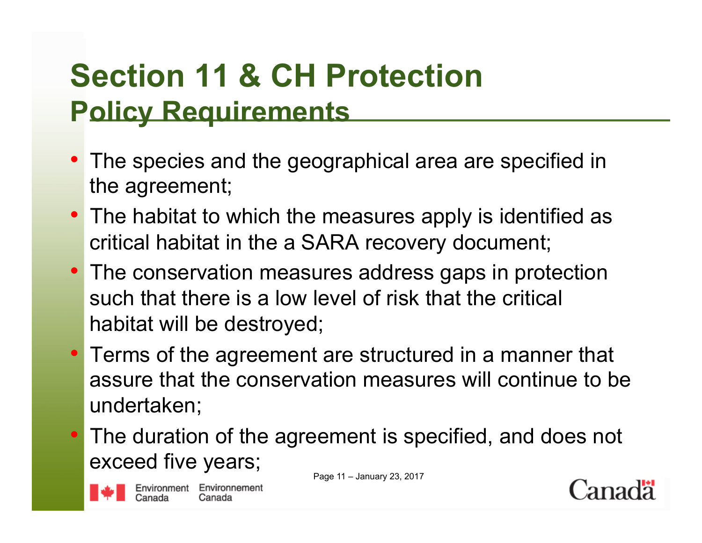### **Section 11 & CH Protection Policy Requirements**

- The species and the geographical area are specified in the agreement;
- The habitat to which the measures apply is identified as critical habitat in the a SARA recovery document;
- The conservation measures address gaps in protection such that there is a low level of risk that the critical habitat will be destroyed;
- Terms of the agreement are structured in a manner that assure that the conservation measures will continue to be undertaken;
- The duration of the agreement is specified, and does not exceed five years;

Page 11 – January 23, 2017





Environment Environnement Canada